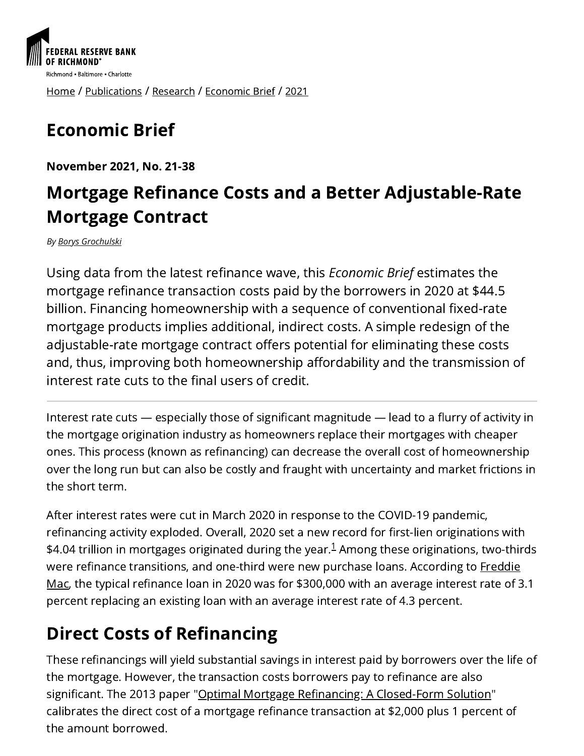

[Home](https://www.richmondfed.org/) / [Publications](https://www.richmondfed.org/publications) / [Research](https://www.richmondfed.org/publications/research) / [Economic](https://www.richmondfed.org/publications/research/economic_brief) Brief / [2021](https://www.richmondfed.org/publications/research/economic_brief/2021)

# Economic Brief

November 2021, No. 21-38

### Mortgage Refinance Costs and a Better Adjustable-Rate Mortgage Contract

*By [Borys Grochulski](https://www.richmondfed.org/research/people/grochulski)*

Using data from the latest refinance wave, this *Economic Brief* estimates the mortgage refinance transaction costs paid by the borrowers in 2020 at \$44.5 billion. Financing homeownership with a sequence of conventional fixed-rate mortgage products implies additional, indirect costs. A simple redesign of the adjustable-rate mortgage contract offers potential for eliminating these costs and, thus, improving both homeownership affordability and the transmission of interest rate cuts to the final users of credit.

Interest rate cuts — especially those of significant magnitude — lead to a flurry of activity in the mortgage origination industry as homeowners replace their mortgages with cheaper ones. This process (known as refinancing) can decrease the overall cost of homeownership over the long run but can also be costly and fraught with uncertainty and market frictions in the short term.

After interest rates were cut in March 2020 in response to the COVID-19 pandemic, refinancing activity exploded. Overall, 2020 set a new record for first-lien originations with  $$4.04$  trillion in mortgages originated during the year. $^1$  $^1$  Among these originations, two-thirds were refinance [transitions,](http://www.freddiemac.com/research/insight/20210305_refinance_trends.page) and one-third were new purchase loans. According to Freddie Mac, the typical refinance loan in 2020 was for \$300,000 with an average interest rate of 3.1 percent replacing an existing loan with an average interest rate of 4.3 percent.

## Direct Costs of Refinancing

These refinancings will yield substantial savings in interest paid by borrowers over the life of the mortgage. However, the transaction costs borrowers pay to refinance are also significant. The 2013 paper "Optimal Mortgage Refinancing: A [Closed-Form](https://onlinelibrary.wiley.com/doi/full/10.1111/jmcb.12017) Solution" calibrates the direct cost of a mortgage refinance transaction at \$2,000 plus 1 percent of the amount borrowed.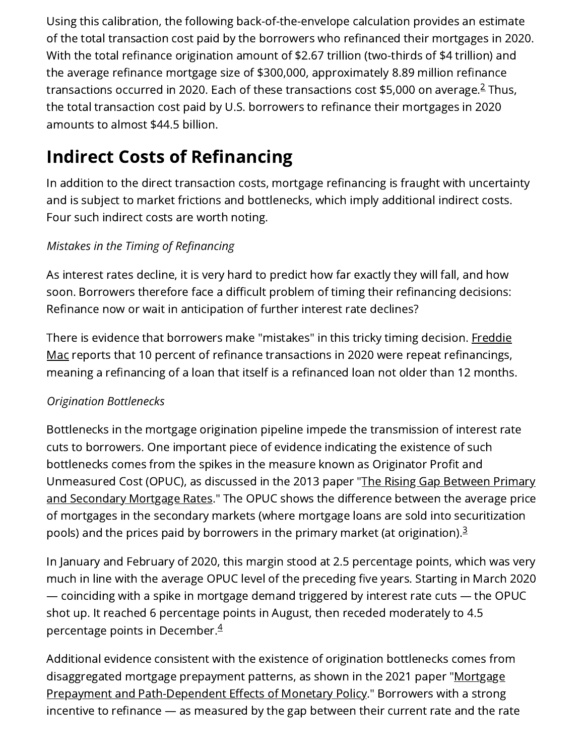Using this calibration, the following back-of-the-envelope calculation provides an estimate of the total transaction cost paid by the borrowers who refinanced their mortgages in 2020. With the total refinance origination amount of \$2.67 trillion (two-thirds of \$4 trillion) and the average refinance mortgage size of \$300,000, approximately 8.89 million refinance transactions occurred in [2](#page-4-1)020. Each of these transactions cost \$5,000 on average.<sup>2</sup> Thus, the total transaction cost paid by U.S. borrowers to refinance their mortgages in 2020 amounts to almost \$44.5 billion.

### Indirect Costs of Refinancing

In addition to the direct transaction costs, mortgage refinancing is fraught with uncertainty and is subject to market frictions and bottlenecks, which imply additional indirect costs. Four such indirect costs are worth noting.

#### *Mistakes in the Timing of Refinancing*

As interest rates decline, it is very hard to predict how far exactly they will fall, and how soon. Borrowers therefore face a difficult problem of timing their refinancing decisions: Refinance now or wait in anticipation of further interest rate declines?

There is evidence that borrowers make "mistakes" in this tricky timing decision. Freddie Mac reports that 10 percent of refinance transactions in 2020 were repeat [refinancings,](http://www.freddiemac.com/research/insight/20210305_refinance_trends.page) meaning a refinancing of a loan that itself is a refinanced loan not older than 12 months.

#### *Origination Bottlenecks*

Bottlenecks in the mortgage origination pipeline impede the transmission of interest rate cuts to borrowers. One important piece of evidence indicating the existence of such bottlenecks comes from the spikes in the measure known as Originator Profit and [Unmeasured](https://www.newyorkfed.org/research/epr/2013/1113fust.html) Cost (OPUC), as discussed in the 2013 paper "The Rising Gap Between Primary and Secondary Mortgage Rates." The OPUC shows the difference between the average price of mortgages in the secondary markets (where mortgage loans are sold into securitization pools) and the prices paid by borrowers in the primary market (at origination). $^3$  $^3$ 

In January and February of 2020, this margin stood at 2.5 percentage points, which was very much in line with the average OPUC level of the preceding five years. Starting in March 2020 — coinciding with a spike in mortgage demand triggered by interest rate cuts — the OPUC shot up. It reached 6 percentage points in August, then receded moderately to 4.5 percentage points in December. [4](#page-4-3)

Additional evidence consistent with the existence of origination bottlenecks comes from disaggregated mortgage prepayment patterns, as shown in the 2021 paper "Mortgage Prepayment and [Path-Dependent](https://www.aeaweb.org/articles?id=10.1257/aer.20181857) Effects of Monetary Policy." Borrowers with a strong incentive to refinance — as measured by the gap between their current rate and the rate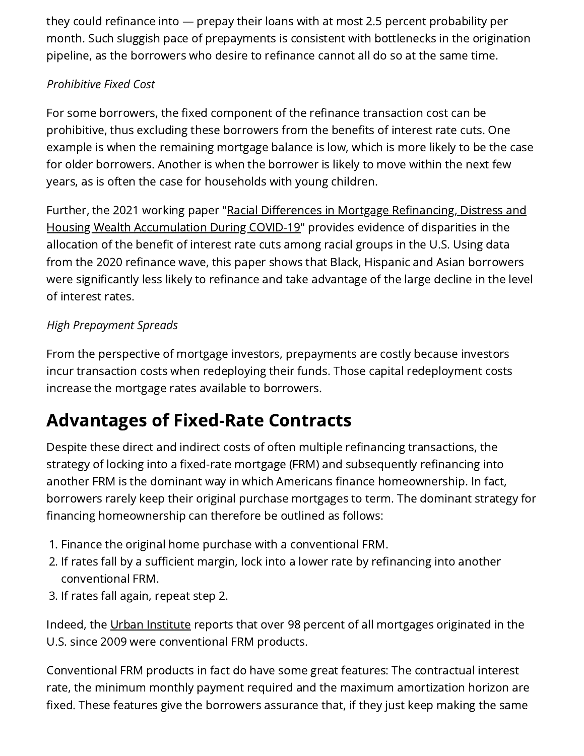they could refinance into — prepay their loans with at most 2.5 percent probability per month. Such sluggish pace of prepayments is consistent with bottlenecks in the origination pipeline, as the borrowers who desire to refinance cannot all do so at the same time.

#### *Prohibitive Fixed Cost*

For some borrowers, the fixed component of the refinance transaction cost can be prohibitive, thus excluding these borrowers from the benefits of interest rate cuts. One example is when the remaining mortgage balance is low, which is more likely to be the case for older borrowers. Another is when the borrower is likely to move within the next few years, as is often the case for households with young children.

Further, the 2021 working paper "Racial Differences in Mortgage Refinancing, Distress and Housing Wealth [Accumulation](https://www.bostonfed.org/publications/current-policy-perspectives/2021/racial-differences-in-mortgage-refinancing-distress-and-housing-wealth-accumulation-during-covid-19.aspx) During COVID-19" provides evidence of disparities in the allocation of the benefit of interest rate cuts among racial groups in the U.S. Using data from the 2020 refinance wave, this paper shows that Black, Hispanic and Asian borrowers were significantly less likely to refinance and take advantage of the large decline in the level of interest rates.

#### *High Prepayment Spreads*

From the perspective of mortgage investors, prepayments are costly because investors incur transaction costs when redeploying their funds. Those capital redeployment costs increase the mortgage rates available to borrowers.

### Advantages of Fixed-Rate Contracts

Despite these direct and indirect costs of often multiple refinancing transactions, the strategy of locking into a fixed-rate mortgage (FRM) and subsequently refinancing into another FRM is the dominant way in which Americans finance homeownership. In fact, borrowers rarely keep their original purchase mortgages to term. The dominant strategy for financing homeownership can therefore be outlined as follows:

- 1. Finance the original home purchase with a conventional FRM.
- 2. If rates fall by a sufficient margin, lock into a lower rate by refinancing into another conventional FRM.
- 3. If rates fall again, repeat step 2.

Indeed, the Urban [Institute](https://www.urban.org/research-area/housing-and-housing-finance) reports that over 98 percent of all mortgages originated in the U.S. since 2009 were conventional FRM products.

Conventional FRM products in fact do have some great features: The contractual interest rate, the minimum monthly payment required and the maximum amortization horizon are fixed. These features give the borrowers assurance that, if they just keep making the same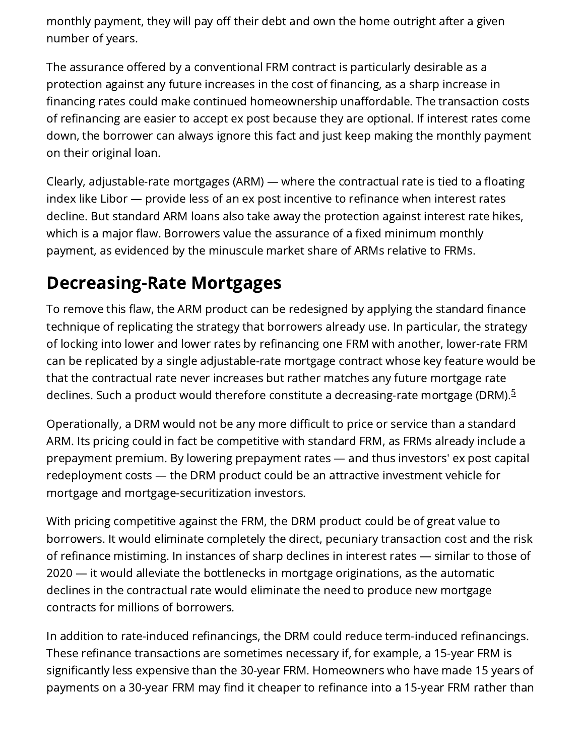monthly payment, they will pay off their debt and own the home outright after a given number of years.

The assurance offered by a conventional FRM contract is particularly desirable as a protection against any future increases in the cost of financing, as a sharp increase in financing rates could make continued homeownership unaffordable. The transaction costs of refinancing are easier to accept ex post because they are optional. If interest rates come down, the borrower can always ignore this fact and just keep making the monthly payment on their original loan.

Clearly, adjustable-rate mortgages (ARM) — where the contractual rate is tied to a floating index like Libor — provide less of an ex post incentive to refinance when interest rates decline. But standard ARM loans also take away the protection against interest rate hikes, which is a major flaw. Borrowers value the assurance of a fixed minimum monthly payment, as evidenced by the minuscule market share of ARMs relative to FRMs.

### Decreasing-Rate Mortgages

To remove this flaw, the ARM product can be redesigned by applying the standard finance technique of replicating the strategy that borrowers already use. In particular, the strategy of locking into lower and lower rates by refinancing one FRM with another, lower-rate FRM can be replicated by a single adjustable-rate mortgage contract whose key feature would be that the contractual rate never increases but rather matches any future mortgage rate declines. Such a product would therefore constitute a decreasing-rate mortgage (DRM).<sup>[5](#page-4-4)</sup>

Operationally, a DRM would not be any more difficult to price or service than a standard ARM. Its pricing could in fact be competitive with standard FRM, as FRMs already include a prepayment premium. By lowering prepayment rates — and thus investors' ex post capital redeployment costs — the DRM product could be an attractive investment vehicle for mortgage and mortgage-securitization investors.

With pricing competitive against the FRM, the DRM product could be of great value to borrowers. It would eliminate completely the direct, pecuniary transaction cost and the risk of refinance mistiming. In instances of sharp declines in interest rates — similar to those of 2020 — it would alleviate the bottlenecks in mortgage originations, as the automatic declines in the contractual rate would eliminate the need to produce new mortgage contracts for millions of borrowers.

In addition to rate-induced refinancings, the DRM could reduce term-induced refinancings. These refinance transactions are sometimes necessary if, for example, a 15-year FRM is significantly less expensive than the 30-year FRM. Homeowners who have made 15 years of payments on a 30-year FRM may find it cheaper to refinance into a 15-year FRM rather than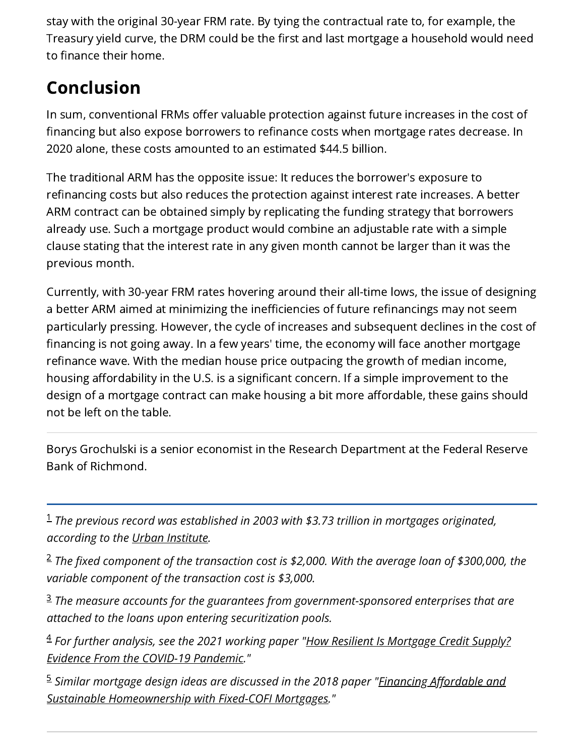stay with the original 30-year FRM rate. By tying the contractual rate to, for example, the Treasury yield curve, the DRM could be the first and last mortgage a household would need to finance their home.

### Conclusion

In sum, conventional FRMs offer valuable protection against future increases in the cost of financing but also expose borrowers to refinance costs when mortgage rates decrease. In 2020 alone, these costs amounted to an estimated \$44.5 billion.

The traditional ARM has the opposite issue: It reduces the borrower's exposure to refinancing costs but also reduces the protection against interest rate increases. A better ARM contract can be obtained simply by replicating the funding strategy that borrowers already use. Such a mortgage product would combine an adjustable rate with a simple clause stating that the interest rate in any given month cannot be larger than it was the previous month.

Currently, with 30-year FRM rates hovering around their all-time lows, the issue of designing a better ARM aimed at minimizing the inefficiencies of future refinancings may not seem particularly pressing. However, the cycle of increases and subsequent declines in the cost of financing is not going away. In a few years' time, the economy will face another mortgage refinance wave. With the median house price outpacing the growth of median income, housing affordability in the U.S. is a significant concern. If a simple improvement to the design of a mortgage contract can make housing a bit more affordable, these gains should not be left on the table.

Borys Grochulski is a senior economist in the Research Department at the Federal Reserve Bank of Richmond.

<span id="page-4-0"></span>*The previous record was established in 2003 with \$3.73 trillion in mortgages originated,* 1 *according to the [Urban Institute.](https://www.urban.org/research-area/housing-and-housing-finance)*

<span id="page-4-1"></span>*The fixed component of the transaction cost is \$2,000. With the average loan of \$300,000, the* 2 *variable component of the transaction cost is \$3,000.*

<span id="page-4-2"></span>*The measure accounts for the guarantees from government-sponsored enterprises that are* 3 *attached to the loans upon entering securitization pools.*

<span id="page-4-3"></span>*[For further analysis, see the 2021 working paper "How Resilient Is Mortgage Credit Supply?](https://www.bostonfed.org/publications/research-department-working-paper/2021/how-resilient-is-mortgage-credit-supply-evidence-from-the-covid-19-pandemic.aspx)* 4 *Evidence From the COVID-19 Pandemic."*

<span id="page-4-4"></span>*[Similar mortgage design ideas are discussed in the 2018 paper "Financing Affordable and](https://www.researchgate.net/publication/326984406_Financing_affordable_and_sustainable_homeownership_with_Fixed-COFI_mortgages)* 5*Sustainable Homeownership with Fixed-COFI Mortgages."*